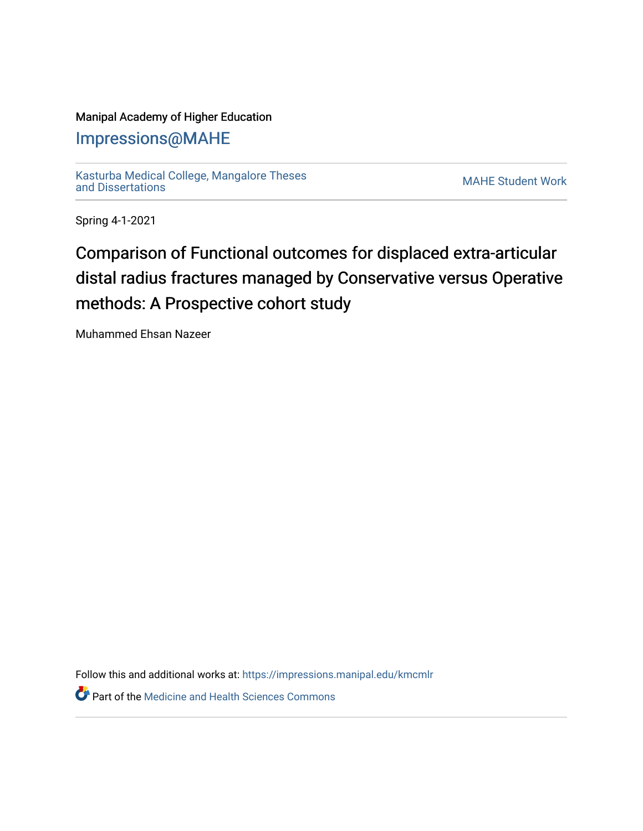## Manipal Academy of Higher Education

## [Impressions@MAHE](https://impressions.manipal.edu/)

[Kasturba Medical College, Mangalore Theses](https://impressions.manipal.edu/kmcmlr) [and Dissertations](https://impressions.manipal.edu/kmcmlr) [MAHE Student Work](https://impressions.manipal.edu/student-work) 

Spring 4-1-2021

## Comparison of Functional outcomes for displaced extra-articular distal radius fractures managed by Conservative versus Operative methods: A Prospective cohort study

Muhammed Ehsan Nazeer

Follow this and additional works at: [https://impressions.manipal.edu/kmcmlr](https://impressions.manipal.edu/kmcmlr?utm_source=impressions.manipal.edu%2Fkmcmlr%2F205&utm_medium=PDF&utm_campaign=PDFCoverPages) 

**Part of the Medicine and Health Sciences Commons**